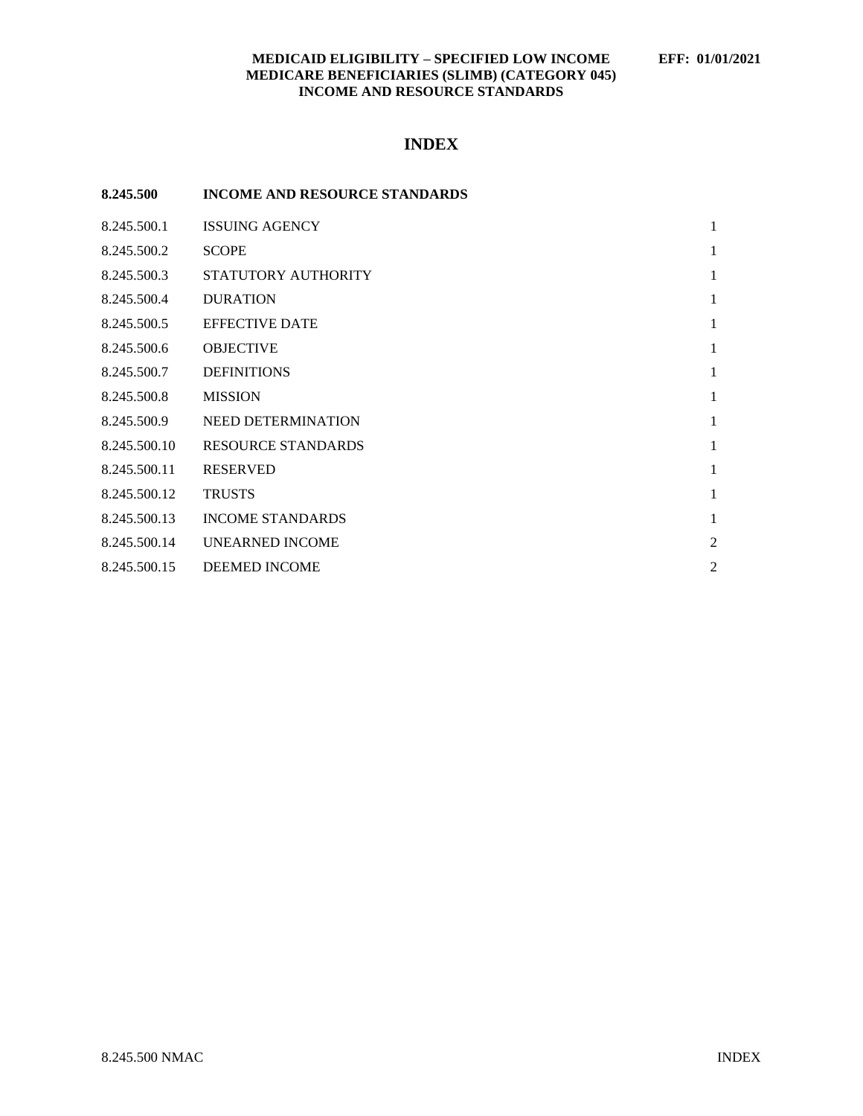### **MEDICAID ELIGIBILITY – SPECIFIED LOW INCOME EFF: 01/01/2021 MEDICARE BENEFICIARIES (SLIMB) (CATEGORY 045) INCOME AND RESOURCE STANDARDS**

## **INDEX**

| 8.245.500    | <b>INCOME AND RESOURCE STANDARDS</b> |                |
|--------------|--------------------------------------|----------------|
| 8.245.500.1  | <b>ISSUING AGENCY</b>                | 1              |
| 8.245.500.2  | <b>SCOPE</b>                         | 1              |
| 8.245.500.3  | STATUTORY AUTHORITY                  | 1              |
| 8.245.500.4  | <b>DURATION</b>                      | 1              |
| 8.245.500.5  | <b>EFFECTIVE DATE</b>                | 1              |
| 8.245.500.6  | <b>OBJECTIVE</b>                     | 1              |
| 8.245.500.7  | <b>DEFINITIONS</b>                   | $\mathbf{1}$   |
| 8.245.500.8  | <b>MISSION</b>                       | 1              |
| 8.245.500.9  | NEED DETERMINATION                   | 1              |
| 8.245.500.10 | <b>RESOURCE STANDARDS</b>            | $\mathbf{1}$   |
| 8.245.500.11 | <b>RESERVED</b>                      | 1              |
| 8.245.500.12 | <b>TRUSTS</b>                        | 1              |
| 8.245.500.13 | <b>INCOME STANDARDS</b>              | $\mathbf{1}$   |
| 8.245.500.14 | <b>UNEARNED INCOME</b>               | $\overline{2}$ |
| 8.245.500.15 | <b>DEEMED INCOME</b>                 | $\overline{c}$ |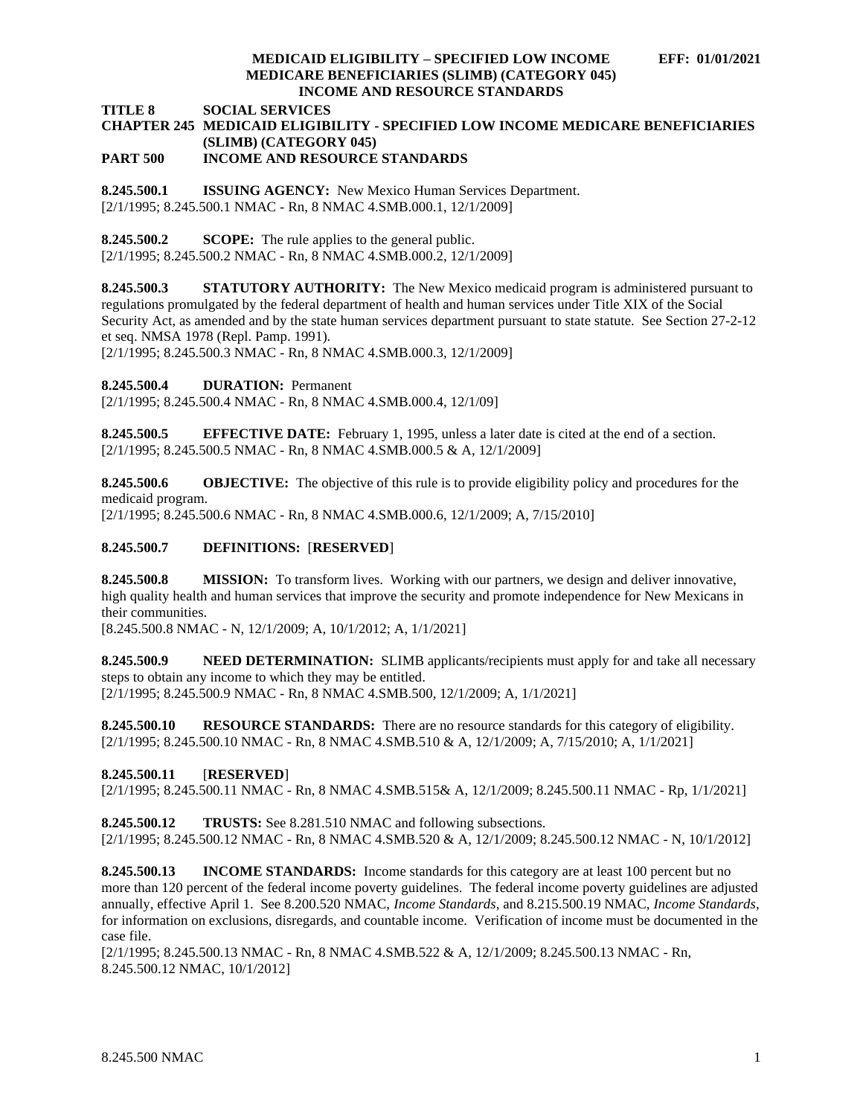### **MEDICAID ELIGIBILITY – SPECIFIED LOW INCOME EFF: 01/01/2021 MEDICARE BENEFICIARIES (SLIMB) (CATEGORY 045) INCOME AND RESOURCE STANDARDS**

#### **TITLE 8 SOCIAL SERVICES**

# **CHAPTER 245 MEDICAID ELIGIBILITY - SPECIFIED LOW INCOME MEDICARE BENEFICIARIES (SLIMB) (CATEGORY 045)**

## **PART 500 INCOME AND RESOURCE STANDARDS**

<span id="page-1-0"></span>**8.245.500.1 ISSUING AGENCY:** New Mexico Human Services Department. [2/1/1995; 8.245.500.1 NMAC - Rn, 8 NMAC 4.SMB.000.1, 12/1/2009]

<span id="page-1-1"></span>**8.245.500.2 SCOPE:** The rule applies to the general public.

[2/1/1995; 8.245.500.2 NMAC - Rn, 8 NMAC 4.SMB.000.2, 12/1/2009]

<span id="page-1-2"></span>**8.245.500.3 STATUTORY AUTHORITY:** The New Mexico medicaid program is administered pursuant to regulations promulgated by the federal department of health and human services under Title XIX of the Social Security Act, as amended and by the state human services department pursuant to state statute. See Section 27-2-12 et seq. NMSA 1978 (Repl. Pamp. 1991).

[2/1/1995; 8.245.500.3 NMAC - Rn, 8 NMAC 4.SMB.000.3, 12/1/2009]

<span id="page-1-3"></span>**8.245.500.4 DURATION:** Permanent

[2/1/1995; 8.245.500.4 NMAC - Rn, 8 NMAC 4.SMB.000.4, 12/1/09]

<span id="page-1-4"></span>**8.245.500.5 EFFECTIVE DATE:** February 1, 1995, unless a later date is cited at the end of a section. [2/1/1995; 8.245.500.5 NMAC - Rn, 8 NMAC 4.SMB.000.5 & A, 12/1/2009]

<span id="page-1-5"></span>**8.245.500.6 OBJECTIVE:** The objective of this rule is to provide eligibility policy and procedures for the medicaid program.

[2/1/1995; 8.245.500.6 NMAC - Rn, 8 NMAC 4.SMB.000.6, 12/1/2009; A, 7/15/2010]

### <span id="page-1-6"></span>**8.245.500.7 DEFINITIONS:** [**RESERVED**]

<span id="page-1-7"></span>**8.245.500.8 MISSION:** To transform lives. Working with our partners, we design and deliver innovative, high quality health and human services that improve the security and promote independence for New Mexicans in their communities.

[8.245.500.8 NMAC - N, 12/1/2009; A, 10/1/2012; A, 1/1/2021]

<span id="page-1-8"></span>**8.245.500.9 NEED DETERMINATION:** SLIMB applicants/recipients must apply for and take all necessary steps to obtain any income to which they may be entitled. [2/1/1995; 8.245.500.9 NMAC - Rn, 8 NMAC 4.SMB.500, 12/1/2009; A, 1/1/2021]

<span id="page-1-9"></span>**8.245.500.10 RESOURCE STANDARDS:** There are no resource standards for this category of eligibility. [2/1/1995; 8.245.500.10 NMAC - Rn, 8 NMAC 4.SMB.510 & A, 12/1/2009; A, 7/15/2010; A, 1/1/2021]

### <span id="page-1-10"></span>**8.245.500.11** [**RESERVED**]

[2/1/1995; 8.245.500.11 NMAC - Rn, 8 NMAC 4.SMB.515& A, 12/1/2009; 8.245.500.11 NMAC - Rp, 1/1/2021]

<span id="page-1-11"></span>**8.245.500.12 TRUSTS:** See 8.281.510 NMAC and following subsections.

[2/1/1995; 8.245.500.12 NMAC - Rn, 8 NMAC 4.SMB.520 & A, 12/1/2009; 8.245.500.12 NMAC - N, 10/1/2012]

<span id="page-1-12"></span>**8.245.500.13 INCOME STANDARDS:** Income standards for this category are at least 100 percent but no more than 120 percent of the federal income poverty guidelines. The federal income poverty guidelines are adjusted annually, effective April 1. See 8.200.520 NMAC, *Income Standards*, and 8.215.500.19 NMAC, *Income Standards*, for information on exclusions, disregards, and countable income. Verification of income must be documented in the case file.

[2/1/1995; 8.245.500.13 NMAC - Rn, 8 NMAC 4.SMB.522 & A, 12/1/2009; 8.245.500.13 NMAC - Rn, 8.245.500.12 NMAC, 10/1/2012]